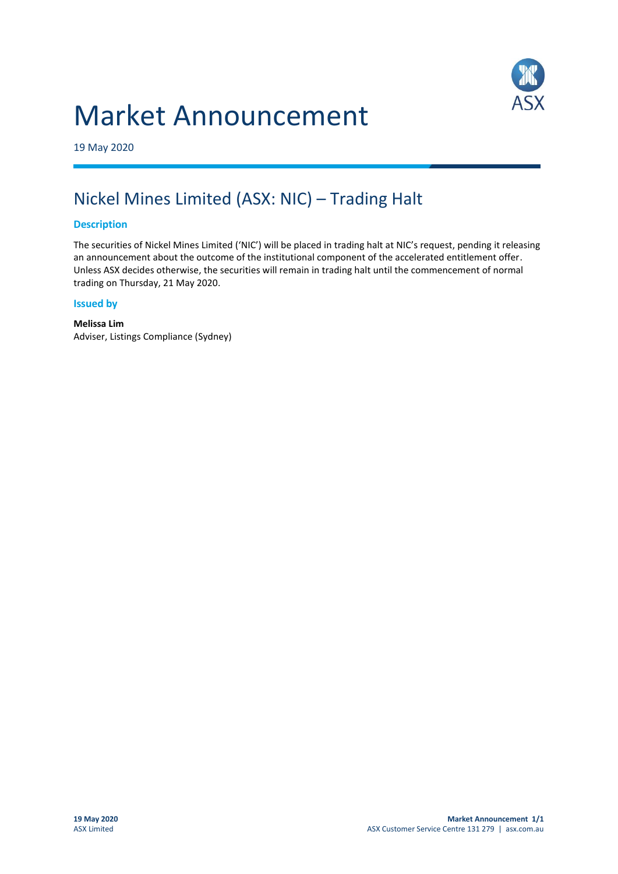# Market Announcement



19 May 2020

## Nickel Mines Limited (ASX: NIC) – Trading Halt

#### **Description**

The securities of Nickel Mines Limited ('NIC') will be placed in trading halt at NIC's request, pending it releasing an announcement about the outcome of the institutional component of the accelerated entitlement offer. Unless ASX decides otherwise, the securities will remain in trading halt until the commencement of normal trading on Thursday, 21 May 2020.

#### **Issued by**

**Melissa Lim** Adviser, Listings Compliance (Sydney)